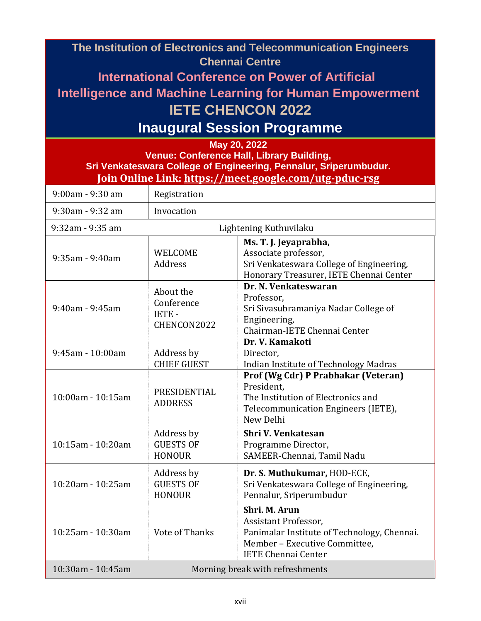| The Institution of Electronics and Telecommunication Engineers<br><b>Chennai Centre</b><br><b>International Conference on Power of Artificial</b><br><b>Intelligence and Machine Learning for Human Empowerment</b><br><b>IETE CHENCON 2022</b><br><b>Inaugural Session Programme</b><br>May 20, 2022<br>Venue: Conference Hall, Library Building, |                                                        |                                                                                                                                                     |  |  |  |  |
|----------------------------------------------------------------------------------------------------------------------------------------------------------------------------------------------------------------------------------------------------------------------------------------------------------------------------------------------------|--------------------------------------------------------|-----------------------------------------------------------------------------------------------------------------------------------------------------|--|--|--|--|
| Sri Venkateswara College of Engineering, Pennalur, Sriperumbudur.<br>Join Online Link: https://meet.google.com/utg-pduc-rsg                                                                                                                                                                                                                        |                                                        |                                                                                                                                                     |  |  |  |  |
| 9:00am - 9:30 am                                                                                                                                                                                                                                                                                                                                   | Registration                                           |                                                                                                                                                     |  |  |  |  |
| 9:30am - 9:32 am                                                                                                                                                                                                                                                                                                                                   | Invocation                                             |                                                                                                                                                     |  |  |  |  |
| 9:32am - 9:35 am                                                                                                                                                                                                                                                                                                                                   | Lightening Kuthuvilaku                                 |                                                                                                                                                     |  |  |  |  |
| $9:35$ am - $9:40$ am                                                                                                                                                                                                                                                                                                                              | <b>WELCOME</b><br><b>Address</b>                       | Ms. T. J. Jeyaprabha,<br>Associate professor,<br>Sri Venkateswara College of Engineering,<br>Honorary Treasurer, IETE Chennai Center                |  |  |  |  |
| 9:40am - 9:45am                                                                                                                                                                                                                                                                                                                                    | About the<br>Conference<br><b>IETE-</b><br>CHENCON2022 | Dr. N. Venkateswaran<br>Professor,<br>Sri Sivasubramaniya Nadar College of<br>Engineering,<br>Chairman-IETE Chennai Center                          |  |  |  |  |
| 9:45am - 10:00am                                                                                                                                                                                                                                                                                                                                   | Address by<br><b>CHIEF GUEST</b>                       | Dr. V. Kamakoti<br>Director,<br>Indian Institute of Technology Madras                                                                               |  |  |  |  |
| 10:00am - 10:15am                                                                                                                                                                                                                                                                                                                                  | PRESIDENTIAL<br><b>ADDRESS</b>                         | Prof (Wg Cdr) P Prabhakar (Veteran)<br>President,<br>The Institution of Electronics and<br>Telecommunication Engineers (IETE),<br>New Delhi         |  |  |  |  |
| 10:15am - 10:20am                                                                                                                                                                                                                                                                                                                                  | Address by<br><b>GUESTS OF</b><br><b>HONOUR</b>        | Shri V. Venkatesan<br>Programme Director,<br>SAMEER-Chennai, Tamil Nadu                                                                             |  |  |  |  |
| 10:20am - 10:25am                                                                                                                                                                                                                                                                                                                                  | Address by<br><b>GUESTS OF</b><br><b>HONOUR</b>        | Dr. S. Muthukumar, HOD-ECE,<br>Sri Venkateswara College of Engineering,<br>Pennalur, Sriperumbudur                                                  |  |  |  |  |
| 10:25am - 10:30am                                                                                                                                                                                                                                                                                                                                  | Vote of Thanks                                         | Shri. M. Arun<br>Assistant Professor,<br>Panimalar Institute of Technology, Chennai.<br>Member - Executive Committee,<br><b>IETE Chennai Center</b> |  |  |  |  |
| 10:30am - 10:45am<br>Morning break with refreshments                                                                                                                                                                                                                                                                                               |                                                        |                                                                                                                                                     |  |  |  |  |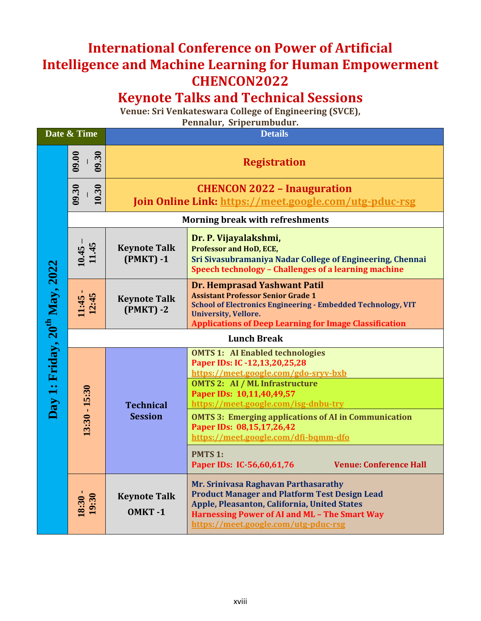## **International Conference on Power of Artificial Intelligence and Machine Learning for Human Empowerment CHENCON2022**

## **Keynote Talks and Technical Sessions**

**Venue: Sri Venkateswara College of Engineering (SVCE),** 

**Pennalur, Sriperumbudur.**

| Date & Time                               |                    | <b>Details</b>                                                                               |                                                                                                                                                                                                                                                  |  |  |  |
|-------------------------------------------|--------------------|----------------------------------------------------------------------------------------------|--------------------------------------------------------------------------------------------------------------------------------------------------------------------------------------------------------------------------------------------------|--|--|--|
|                                           | 09.00<br>09.30     | <b>Registration</b>                                                                          |                                                                                                                                                                                                                                                  |  |  |  |
|                                           | 09.30<br>10.30     | <b>CHENCON 2022 - Inauguration</b><br>Join Online Link: https://meet.google.com/utg-pduc-rsg |                                                                                                                                                                                                                                                  |  |  |  |
|                                           |                    | <b>Morning break with refreshments</b>                                                       |                                                                                                                                                                                                                                                  |  |  |  |
|                                           | $10.45 -$<br>11.45 | <b>Keynote Talk</b><br>$(PMKT) - 1$                                                          | Dr. P. Vijayalakshmi,<br><b>Professor and HoD, ECE,</b><br>Sri Sivasubramaniya Nadar College of Engineering, Chennai<br>Speech technology - Challenges of a learning machine                                                                     |  |  |  |
|                                           | 11:45<br>12:45     | <b>Keynote Talk</b><br>$(PMKT) - 2$                                                          | Dr. Hemprasad Yashwant Patil<br><b>Assistant Professor Senior Grade 1</b><br><b>School of Electronics Engineering - Embedded Technology, VIT</b><br><b>University, Vellore.</b><br><b>Applications of Deep Learning for Image Classification</b> |  |  |  |
|                                           |                    | <b>Lunch Break</b>                                                                           |                                                                                                                                                                                                                                                  |  |  |  |
| Day 1: Friday, 20 <sup>th</sup> May, 2022 | $13:30 - 15:30$    | <b>Technical</b><br><b>Session</b>                                                           | <b>OMTS 1: AI Enabled technologies</b><br>Paper IDs: IC -12,13,20,25,28<br>https://meet.google.com/gdo-sryv-bxb<br><b>OMTS 2: AI / ML Infrastructure</b><br>Paper IDs: 10,11,40,49,57<br>https://meet.google.com/isg-dnbu-try                    |  |  |  |
|                                           |                    |                                                                                              | <b>OMTS 3: Emerging applications of AI in Communication</b><br>Paper IDs: 08,15,17,26,42<br>https://meet.google.com/dfi-bqmm-dfo                                                                                                                 |  |  |  |
|                                           |                    |                                                                                              | <b>PMTS 1:</b><br><b>Venue: Conference Hall</b><br>Paper IDs: IC-56,60,61,76                                                                                                                                                                     |  |  |  |
|                                           | $18:30 - 19:30$    | <b>Keynote Talk</b><br>OMKT-1                                                                | Mr. Srinivasa Raghavan Parthasarathy<br><b>Product Manager and Platform Test Design Lead</b><br>Apple, Pleasanton, California, United States<br><b>Harnessing Power of AI and ML - The Smart Way</b><br>https://meet.google.com/utg-pduc-rsg     |  |  |  |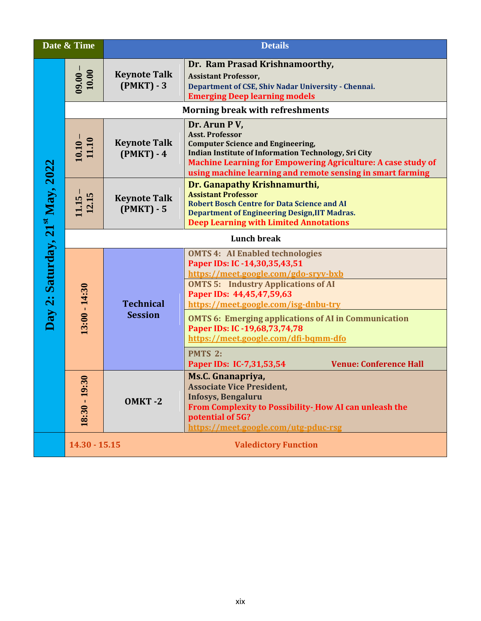|                                 | Date & Time                                    |                                     | <b>Details</b>                                                                                                                                                                                                                                                                         |  |  |  |
|---------------------------------|------------------------------------------------|-------------------------------------|----------------------------------------------------------------------------------------------------------------------------------------------------------------------------------------------------------------------------------------------------------------------------------------|--|--|--|
|                                 | $\frac{09.00}{10.00}$                          | <b>Keynote Talk</b><br>$(PMKT) - 3$ | Dr. Ram Prasad Krishnamoorthy,<br><b>Assistant Professor,</b><br>Department of CSE, Shiv Nadar University - Chennai.<br><b>Emerging Deep learning models</b>                                                                                                                           |  |  |  |
|                                 | <b>Morning break with refreshments</b>         |                                     |                                                                                                                                                                                                                                                                                        |  |  |  |
|                                 | $\frac{10.10}{11.10}$                          | <b>Keynote Talk</b><br>$(PMKT) - 4$ | Dr. Arun PV,<br><b>Asst. Professor</b><br><b>Computer Science and Engineering,</b><br><b>Indian Institute of Information Technology, Sri City</b><br><b>Machine Learning for Empowering Agriculture: A case study of</b><br>using machine learning and remote sensing in smart farming |  |  |  |
|                                 | $11.15 - 12.15$                                | <b>Keynote Talk</b><br>$(PMKT) - 5$ | Dr. Ganapathy Krishnamurthi,<br><b>Assistant Professor</b><br><b>Robert Bosch Centre for Data Science and AI</b><br><b>Department of Engineering Design, IIT Madras.</b><br><b>Deep Learning with Limited Annotations</b>                                                              |  |  |  |
|                                 |                                                | <b>Lunch break</b>                  |                                                                                                                                                                                                                                                                                        |  |  |  |
| Day 2: Saturday, 21st May, 2022 | $13:00 - 14:30$                                | <b>Technical</b><br><b>Session</b>  | <b>OMTS 4: AI Enabled technologies</b><br>Paper IDs: IC -14,30,35,43,51<br>https://meet.google.com/gdo-sryv-bxb<br><b>OMTS 5: Industry Applications of AI</b><br>Paper IDs: 44,45,47,59,63<br>https://meet.google.com/isg-dnbu-try                                                     |  |  |  |
|                                 |                                                |                                     | <b>OMTS 6: Emerging applications of AI in Communication</b><br>Paper IDs: IC -19,68,73,74,78<br>https://meet.google.com/dfi-bqmm-dfo                                                                                                                                                   |  |  |  |
|                                 |                                                |                                     | <b>PMTS 2:</b><br>Paper IDs: IC-7,31,53,54<br><b>Venue: Conference Hall</b>                                                                                                                                                                                                            |  |  |  |
|                                 | $\ddot{30}$<br>$18:30 - 19$                    | OMKT-2                              | Ms.C. Gnanapriya,<br><b>Associate Vice President,</b><br><b>Infosys, Bengaluru</b><br>From Complexity to Possibility-How AI can unleash the<br>potential of 5G?<br>https://meet.google.com/utg-pduc-rsg                                                                                |  |  |  |
|                                 | $14.30 - 15.15$<br><b>Valedictory Function</b> |                                     |                                                                                                                                                                                                                                                                                        |  |  |  |